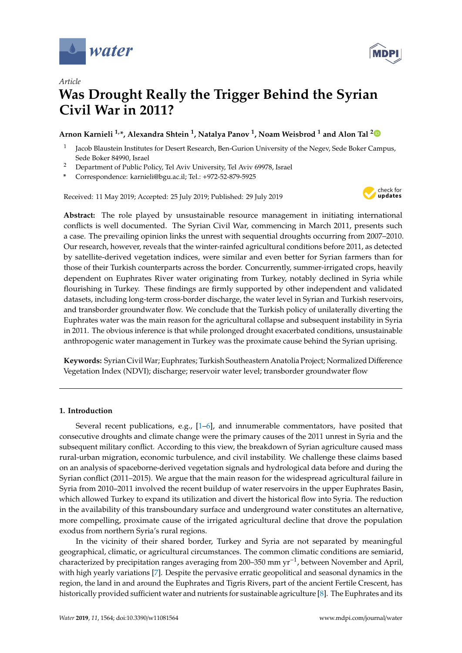

*Article*



# **Was Drought Really the Trigger Behind the Syrian Civil War in 2011?**

### **Arnon Karnieli 1,\*, Alexandra Shtein <sup>1</sup> , Natalya Panov <sup>1</sup> , Noam Weisbrod <sup>1</sup> and Alon Tal [2](https://orcid.org/0000-0003-0720-5757)**

- 1 Jacob Blaustein Institutes for Desert Research, Ben-Gurion University of the Negev, Sede Boker Campus, Sede Boker 84990, Israel
- <sup>2</sup> Department of Public Policy, Tel Aviv University, Tel Aviv 69978, Israel
- **\*** Correspondence: karnieli@bgu.ac.il; Tel.: +972-52-879-5925

Received: 11 May 2019; Accepted: 25 July 2019; Published: 29 July 2019



**Abstract:** The role played by unsustainable resource management in initiating international conflicts is well documented. The Syrian Civil War, commencing in March 2011, presents such a case. The prevailing opinion links the unrest with sequential droughts occurring from 2007–2010. Our research, however, reveals that the winter-rainfed agricultural conditions before 2011, as detected by satellite-derived vegetation indices, were similar and even better for Syrian farmers than for those of their Turkish counterparts across the border. Concurrently, summer-irrigated crops, heavily dependent on Euphrates River water originating from Turkey, notably declined in Syria while flourishing in Turkey. These findings are firmly supported by other independent and validated datasets, including long-term cross-border discharge, the water level in Syrian and Turkish reservoirs, and transborder groundwater flow. We conclude that the Turkish policy of unilaterally diverting the Euphrates water was the main reason for the agricultural collapse and subsequent instability in Syria in 2011. The obvious inference is that while prolonged drought exacerbated conditions, unsustainable anthropogenic water management in Turkey was the proximate cause behind the Syrian uprising.

**Keywords:** Syrian CivilWar; Euphrates; Turkish Southeastern Anatolia Project; Normalized Difference Vegetation Index (NDVI); discharge; reservoir water level; transborder groundwater flow

#### **1. Introduction**

Several recent publications, e.g., [\[1–](#page-9-0)[6\]](#page-9-1), and innumerable commentators, have posited that consecutive droughts and climate change were the primary causes of the 2011 unrest in Syria and the subsequent military conflict. According to this view, the breakdown of Syrian agriculture caused mass rural-urban migration, economic turbulence, and civil instability. We challenge these claims based on an analysis of spaceborne-derived vegetation signals and hydrological data before and during the Syrian conflict (2011–2015). We argue that the main reason for the widespread agricultural failure in Syria from 2010–2011 involved the recent buildup of water reservoirs in the upper Euphrates Basin, which allowed Turkey to expand its utilization and divert the historical flow into Syria. The reduction in the availability of this transboundary surface and underground water constitutes an alternative, more compelling, proximate cause of the irrigated agricultural decline that drove the population exodus from northern Syria's rural regions.

In the vicinity of their shared border, Turkey and Syria are not separated by meaningful geographical, climatic, or agricultural circumstances. The common climatic conditions are semiarid, characterized by precipitation ranges averaging from 200–350 mm yr−<sup>1</sup> , between November and April, with high yearly variations [\[7\]](#page-9-2). Despite the pervasive erratic geopolitical and seasonal dynamics in the region, the land in and around the Euphrates and Tigris Rivers, part of the ancient Fertile Crescent, has historically provided sufficient water and nutrients for sustainable agriculture [\[8\]](#page-9-3). The Euphrates and its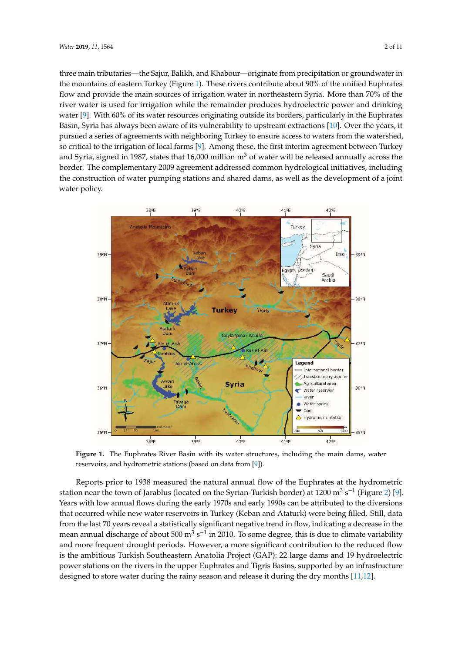three main tributaries—the Sajur, Balikh, and Khabour—originate from precipitation or groundwater in the mountains of eastern Turkey (Figure [1\)](#page-1-0). These rivers contribute about  $90\%$  of the unified Euphrates flow and provide the main sources of irrigation water in northeastern Syria. More than 70% of the river water is used for irrigation while the remainder produces hydroelectric power and drinking water [\[9\]](#page-9-4). With 60% of its water resources originating outside its borders, particularly in the Euphrates Basin, Syria has always been aware of its vulnerability to upstream extractions  $[10]$ . Over the years, it pursued a series of agreements with neighboring Turkey to ensure access to waters from the watershed, so critical to the irrigation of local farms  $[9]$ . Among these, the first interim agreement between Turkey and Syria, signed in 1987, states that 16,000 million  $m^3$  of water will be released annually across the border. The complementary 2009 agreement addressed common hydrological initiatives, including the construction of water pumping stations and shared dams, as well as the development of a joint water policy.

<span id="page-1-0"></span>

**Figure 1.** The Euphrates River Basin with its water structures, including the main dams, water **Figure 1.** The Euphrates River Basin with its water structures, including the main dams, water reservoirs, and hydrometric stations (based on data from [9]). reservoirs, and hydrometric stations (based on data from [\[9\]](#page-9-4)).

station near the town of Jarablus (located on the Syrian-Turkish border) at  $1200 \text{ m}^3 \text{ s}^{-1}$  (Figure [2\)](#page-2-0) [\[9\]](#page-9-4). station near the town of Jarablus (located on the Syrian-Turkish border) at  $1200$  may be the stationary  $\frac{1}{2}$ . Years with low annual flows during the early 1970s and early 1990s can be attributed to the diversions Years with low annual flows during the early 1970s and early 1990s can be attributed to the diversions from the last 70 years reveal a statistically significant negative trend in flow, indicating a decrease in the mean annual discharge of about  $500 \text{ m}^3 \text{ s}^{-1}$  in 2010. To some degree, this is due to climate variability nean annual discharge of about 500 m<sup>3</sup> s−11 2010. To some degree, this is due to climate variablity and more frequent drought periods. However, a more significant contribution to the reduced flow ind more frequent drought periods. However, a more significant contribution to the reduced now<br>is the ambitious Turkish Southeastern Anatolia Project (GAP): 22 large dams and 19 hydroelectric reduced flow is the ambitious Turkish Southeastern Anatolia  $\Gamma$  and  $\Gamma$  and  $\Gamma$  and  $\Gamma$  and  $\Gamma$  and  $\Gamma$  and  $\Gamma$  and  $\Gamma$  and  $\Gamma$  and  $\Gamma$  and  $\Gamma$  and  $\Gamma$  and  $\Gamma$  and  $\Gamma$  and  $\Gamma$  and  $\Gamma$  and  $\Gamma$  and  $\Gamma$  and power stations on the rivers in the upper Euphrates and Tigris Basins, supported by an infrastructure<br>platinum distance with the upper Euphrates and Tigris Basins, supported by an infrastructure designed to store water during the rainy season and release it during the dry months [\[11,](#page-9-6)[12\]](#page-9-7). Reports prior to 1938 measured the natural annual flow of the Euphrates at the hydrometric that occurred while new water reservoirs in Turkey (Keban and Ataturk) were being filled. Still, data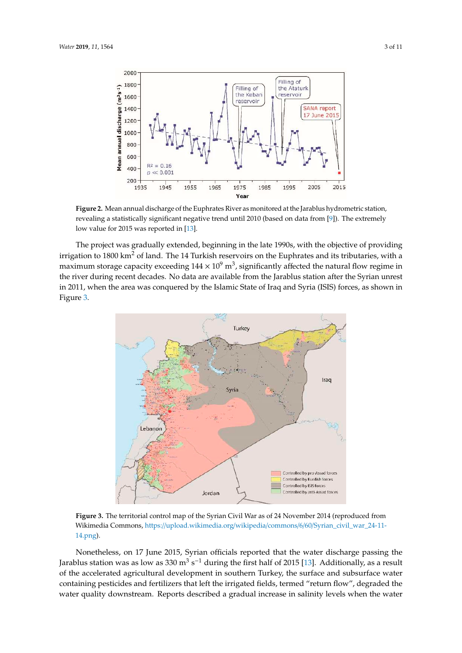<span id="page-2-0"></span>

revealing a statistically significant negative trend until 2010 (based on data from [\[9\]](#page-9-4)). The extremely low value for 2015 was reported in [\[13\]](#page-9-8).  $\frac{1}{2}$  and  $\frac{1}{2}$ . **Figure 2.** Mean annual discharge of the Euphrates River as monitored at the Jarablus hydrometric station, **Figure 2.** Mean annual discharge of the Euphrates River as monitored at the Jarablus hydrometric

irrigation to  $1800 \text{ km}^2$  of land. The 14 Turkish reservoirs on the Euphrates and its tributaries, with a  $\frac{1}{2}$  maximum storage capacity exceeding  $144 \times 10^9$  m<sup>3</sup>, significantly affected the natural flow regime in the river during recent decades. No data are available from the Jarablus station after the Syrian unrest in 2011, when the area was conquered by the Islamic State of Iraq and Syria (ISIS) forces, as shown in Figure 3. The project was gradually extended, beginning in the late 1990s, with the objective of providing Figure [3.](#page-2-1) Figure 3. in 2011, when the area was conquered by the Islamic State of Iraq and Syria (ISIS) forces, as shown in

<span id="page-2-1"></span>

Figure 3. The territorial control map of the Syrian Civil War as of 24 November 2014 (reproduced from [Wikimedia Commons,](https://upload.wikimedia.org/wikipedia/commons/6/60/Syrian_civil_war_24-11-14.png) https://upload.wikimedia.org/wikipedia/commons/6/60/Syrian\_civil\_war\_24-11- $14.$ png).  $\frac{14}{14}$ .png). [14.png\)](https://upload.wikimedia.org/wikipedia/commons/6/60/Syrian_civil_war_24-11-14.png).

Nonetheless, on 17 June 2015, Syrian officials reported that the water discharge passing the Jarablus station was as low as  $330 \text{ m}^3 \text{ s}^{-1}$  during the first half of 2015 [\[13\]](#page-9-8). Additionally, as a result of the accelerated agricultural development in southern Turkey, the surface and subsurface water containing pesticides and fertilizers that left the irrigated fields, termed "return flow", degraded the water quality downstream. Reports described a gradual increase in salinity levels when the water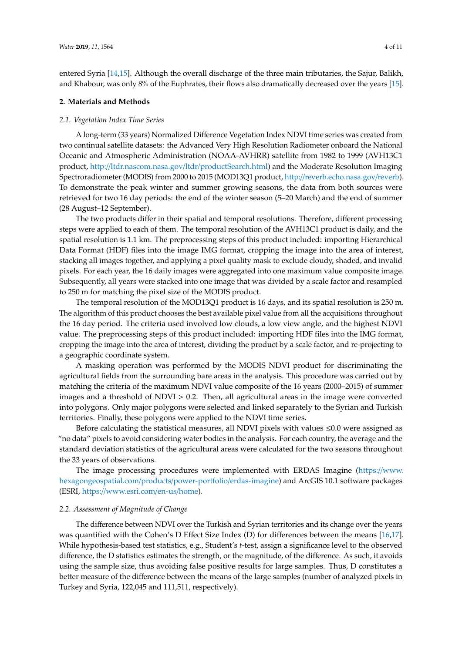entered Syria [\[14,](#page-9-9)[15\]](#page-9-10). Although the overall discharge of the three main tributaries, the Sajur, Balikh, and Khabour, was only 8% of the Euphrates, their flows also dramatically decreased over the years [\[15\]](#page-9-10).

#### **2. Materials and Methods**

#### *2.1. Vegetation Index Time Series*

A long-term (33 years) Normalized Difference Vegetation Index NDVI time series was created from two continual satellite datasets: the Advanced Very High Resolution Radiometer onboard the National Oceanic and Atmospheric Administration (NOAA-AVHRR) satellite from 1982 to 1999 (AVH13C1 product, http://[ltdr.nascom.nasa.gov](http://ltdr.nascom.nasa.gov/ltdr/productSearch.html)/ltdr/productSearch.html) and the Moderate Resolution Imaging Spectroradiometer (MODIS) from 2000 to 2015 (MOD13Q1 product, http://[reverb.echo.nasa.gov](http://reverb.echo.nasa.gov/reverb)/reverb). To demonstrate the peak winter and summer growing seasons, the data from both sources were retrieved for two 16 day periods: the end of the winter season (5–20 March) and the end of summer (28 August–12 September).

The two products differ in their spatial and temporal resolutions. Therefore, different processing steps were applied to each of them. The temporal resolution of the AVH13C1 product is daily, and the spatial resolution is 1.1 km. The preprocessing steps of this product included: importing Hierarchical Data Format (HDF) files into the image IMG format, cropping the image into the area of interest, stacking all images together, and applying a pixel quality mask to exclude cloudy, shaded, and invalid pixels. For each year, the 16 daily images were aggregated into one maximum value composite image. Subsequently, all years were stacked into one image that was divided by a scale factor and resampled to 250 m for matching the pixel size of the MODIS product.

The temporal resolution of the MOD13Q1 product is 16 days, and its spatial resolution is 250 m. The algorithm of this product chooses the best available pixel value from all the acquisitions throughout the 16 day period. The criteria used involved low clouds, a low view angle, and the highest NDVI value. The preprocessing steps of this product included: importing HDF files into the IMG format, cropping the image into the area of interest, dividing the product by a scale factor, and re-projecting to a geographic coordinate system.

A masking operation was performed by the MODIS NDVI product for discriminating the agricultural fields from the surrounding bare areas in the analysis. This procedure was carried out by matching the criteria of the maximum NDVI value composite of the 16 years (2000–2015) of summer images and a threshold of  $NDVI > 0.2$ . Then, all agricultural areas in the image were converted into polygons. Only major polygons were selected and linked separately to the Syrian and Turkish territories. Finally, these polygons were applied to the NDVI time series.

Before calculating the statistical measures, all NDVI pixels with values  $\leq 0.0$  were assigned as "no data" pixels to avoid considering water bodies in the analysis. For each country, the average and the standard deviation statistics of the agricultural areas were calculated for the two seasons throughout the 33 years of observations.

The image processing procedures were implemented with ERDAS Imagine (https://[www.](https://www.hexagongeospatial.com/products/power-portfolio/erdas-imagine) [hexagongeospatial.com](https://www.hexagongeospatial.com/products/power-portfolio/erdas-imagine)/products/power-portfolio/erdas-imagine) and ArcGIS 10.1 software packages (ESRI, https://[www.esri.com](https://www.esri.com/en-us/home)/en-us/home).

#### *2.2. Assessment of Magnitude of Change*

The difference between NDVI over the Turkish and Syrian territories and its change over the years was quantified with the Cohen's D Effect Size Index (D) for differences between the means [\[16,](#page-9-11)[17\]](#page-9-12). While hypothesis-based test statistics, e.g., Student's *t*-test, assign a significance level to the observed difference, the D statistics estimates the strength, or the magnitude, of the difference. As such, it avoids using the sample size, thus avoiding false positive results for large samples. Thus, D constitutes a better measure of the difference between the means of the large samples (number of analyzed pixels in Turkey and Syria, 122,045 and 111,511, respectively).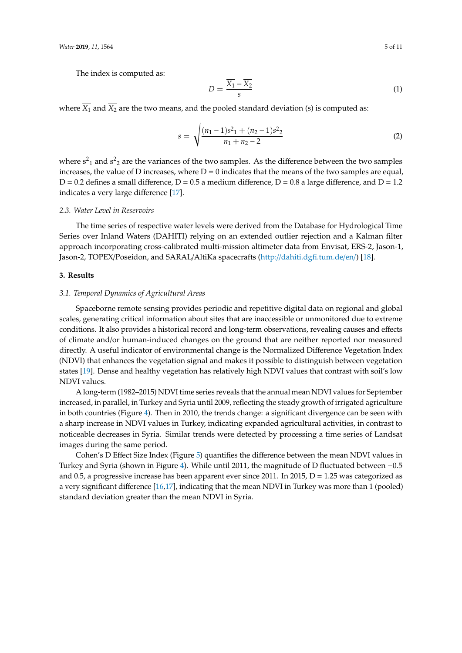The index is computed as:

$$
D = \frac{\overline{X_1} - \overline{X_2}}{s} \tag{1}
$$

where  $\overline{X_1}$  and  $\overline{X_2}$  are the two means, and the pooled standard deviation (s) is computed as:

$$
s = \sqrt{\frac{(n_1 - 1)s^2 + (n_2 - 1)s^2}{n_1 + n_2 - 2}}
$$
 (2)

where  $s^2$ <sub>1</sub> and  $s^2$ <sub>2</sub> are the variances of the two samples. As the difference between the two samples increases, the value of D increases, where  $D = 0$  indicates that the means of the two samples are equal,  $D = 0.2$  defines a small difference,  $D = 0.5$  a medium difference,  $D = 0.8$  a large difference, and  $D = 1.2$ indicates a very large difference [\[17\]](#page-9-12).

#### *2.3. Water Level in Reservoirs*

The time series of respective water levels were derived from the Database for Hydrological Time Series over Inland Waters (DAHITI) relying on an extended outlier rejection and a Kalman filter approach incorporating cross-calibrated multi-mission altimeter data from Envisat, ERS-2, Jason-1, Jason-2, TOPEX/Poseidon, and SARAL/AltiKa spacecrafts (http://[dahiti.dgfi.tum.de](http://dahiti.dgfi.tum.de/en/)/en/) [\[18\]](#page-9-13).

#### **3. Results**

#### *3.1. Temporal Dynamics of Agricultural Areas*

Spaceborne remote sensing provides periodic and repetitive digital data on regional and global scales, generating critical information about sites that are inaccessible or unmonitored due to extreme conditions. It also provides a historical record and long-term observations, revealing causes and effects of climate and/or human-induced changes on the ground that are neither reported nor measured directly. A useful indicator of environmental change is the Normalized Difference Vegetation Index (NDVI) that enhances the vegetation signal and makes it possible to distinguish between vegetation states [\[19\]](#page-9-14). Dense and healthy vegetation has relatively high NDVI values that contrast with soil's low NDVI values.

A long-term (1982–2015) NDVI time series reveals that the annual mean NDVI values for September increased, in parallel, in Turkey and Syria until 2009, reflecting the steady growth of irrigated agriculture in both countries (Figure [4\)](#page-5-0). Then in 2010, the trends change: a significant divergence can be seen with a sharp increase in NDVI values in Turkey, indicating expanded agricultural activities, in contrast to noticeable decreases in Syria. Similar trends were detected by processing a time series of Landsat images during the same period.

Cohen's D Effect Size Index (Figure [5\)](#page-5-1) quantifies the difference between the mean NDVI values in Turkey and Syria (shown in Figure [4\)](#page-5-0). While until 2011, the magnitude of D fluctuated between −0.5 and 0.5, a progressive increase has been apparent ever since 2011. In 2015,  $D = 1.25$  was categorized as a very significant difference [\[16,](#page-9-11)[17\]](#page-9-12), indicating that the mean NDVI in Turkey was more than 1 (pooled) standard deviation greater than the mean NDVI in Syria.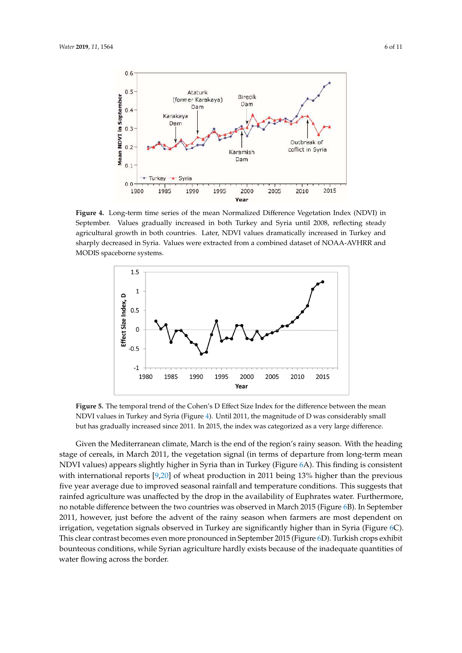<span id="page-5-0"></span>

Figure 4. Long-term time series of the mean Normalized Difference Vegetation Index (NDVI) in September. Values gradually increased in both Turkey and Syria until 2008, reflecting steady agricultural growth in both countries. Later, NDVI values dramatically increased in Turkey and sharply decreased in Syria. Values were extracted from a combined dataset of NOAA-AVHRR and<br>MODIC MODIS spaceborne systems. MODIS spaceborne systems.

<span id="page-5-1"></span>

**Figure 5.** The temporal trend of the Cohen's D Effect Size Index for the difference between the mean NDVI values in Turkey and Syria (Figure 4). [Un](#page-5-0)til 2011, the magnitude of D was considerably small gradually increased since 2011. In 2015, the index was categorized as a very large difference. but has gradually increased since 2011. In 2015, the index was categorized as a very large difference.

with international reports  $[9,20]$  $[9,20]$  of wheat production in 2011 being 13% higher than the previous five year average due to improved seasonal rainfall and temperature conditions. This suggests that rainfed agriculture was unaffected by the drop in the availability of Euphrates water. Furthermore, 2011, however, just before the advent of the rainy season when farmers are most dependent on irrigation, vegetation signals observed in Turkey are significantly higher than in [Syr](#page-6-0)ia (Figure 6C). This clear contrast becomes even more pronounced in Sep[tem](#page-6-0)ber 2015 (Figure 6D). Turkish crops exhibit bounteous conditions, while Syrian agriculture hardly exists because of the inadequate quantities of water flowing across the border. This suggests that the suggests that suggests that  $\frac{1}{\sqrt{2}}$ Given the Mediterranean climate, March is the end of the region's rainy season. With the heading Given the Mediterranean climate, March is the end of the region's rainy season. With the heading stage of cereals, in March 2011, the vegetation signal (in terms of departure from long-term mean stage of cereals, in March 2011, the vegetation signal (in terms of departure from long-term mean NDVI values) appears slightly higher in Syria than in Turkey (Figure [6](#page-6-0)A). This finding is consistent NDVI values) appears slightly higher in Syria than in Turkey (Figure 6A). This finding is consistent no notable difference between the two countries was observed in March 201[5](#page-6-0) (Figure 6B). In no notable difference between the two countries was observed in March 2015 (Figure 6B). In September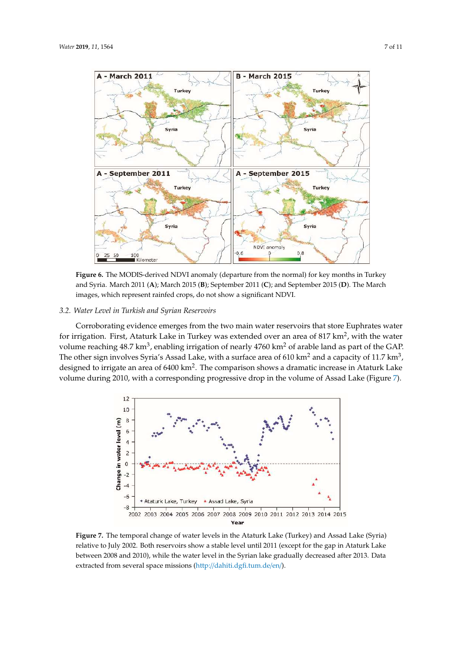<span id="page-6-0"></span>A



NDVI anomaly

0

Turkey

Syria

 $0.8$ 

100<br>Kilometer 25 50 Figure 6. The MODIS-derived NDVI anomaly (departure from the normal) for key months in Turkey and Syria. March 2011 (A); March 2015 (B); September 2011 (C); and September 2015 (D). The March images, which represent rainfed crops, do not show a significant NDVI. images, which represent rainfed crops, do not show a significant NDVI. images, which represent rainfed crops, do not show a significant NDVI.

 $-0.6$ 

**Turkey** 

Syria

## *3.2. Water Level in Turkish and Syrian Reservoirs 3.2. Water Level in Turkish and Syrian Reservoirs 3.2. Water Level in Turkish and Syrian Reservoirs*

for irrigation. First, Ataturk Lake in Turkey was extended over an area of 817 km<sup>2</sup>, with the water volume reaching 48.7 km<sup>3</sup>, enabling irrigation of nearly 4760 km<sup>2</sup> of arable land as part of the GAP. volume reaching 48.7 km<sup>3</sup>, enabling irrigation of nearly 4760 km<sup>2</sup> of arable land as part of the GAP. The other sign involves Syria's Assad Lake, with a surface area of 610 km<sup>2</sup> and a capacity of 11.7 km<sup>3</sup>, designed to irrigate an area of 6400 km2. The comparison shows a dramatic increase in Ataturk Lake volume during 2010, with a corresponding progressive drop in the volume of Assad Lake (Figur[e 7](#page-6-1)). Corroborating evidence emerges from the two main water reservoirs that store Euphrates water Corroborating evidence emerges from the two main water reservoirs that store Euphrates water designed to irrigate an area of 6400 km<sup>2</sup>. The comparison shows a dramatic increase in Ataturk Lake

<span id="page-6-1"></span>

**Figure 7.** The temporal change of water levels in the Ataturk Lake (Turkey) and Assad Lake (Syria) relative to  $2002$  and  $2010$ , subject the surface level in the Gapier lelve and stable degrees of the  $2012$ . De  $\phi$ extracted from several space missions (http://dahiti.dgfi.tum.de/en/). extracted from several space missions [\(http://dahiti.dgfi.tum.de/en/](http://dahiti.dgfi.tum.de/en/)). extracted from several space missions (http://dahiti.dgfi.tum.de/en/).**Figure 7.** The temporal change of water levels in the Ataturk Lake (Turkey) and Assad Lake (Syria) **Figure 7.** The temporal change of water levels in the Ataturk Lake (Turkey) and Assad Lake (Syria) relative to July 2002. Both reservoirs show a stable level until 2011 (except for the gap in Ataturk Lake relative to July 2002. Both reservoirs show a stable level until 2011 (except for the gap in Ataturk Lake between 2008 and 2010), while the water level in the Syrian lake gradually decreased after 2013. Data between 2008 and 2010), while the water level in the Syrian lake gradually decreased after 2013. Data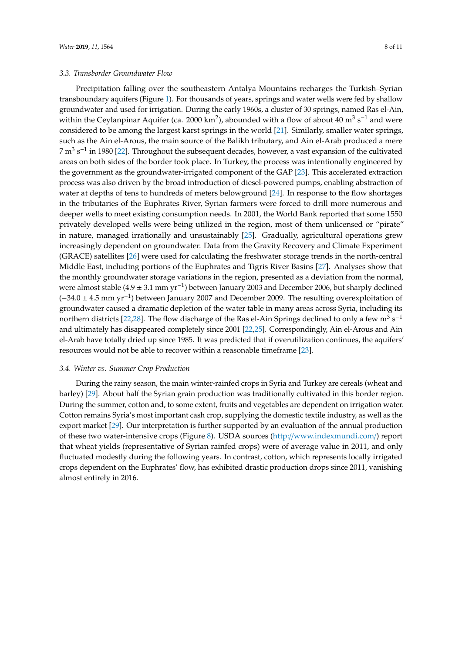Precipitation falling over the southeastern Antalya Mountains recharges the Turkish–Syrian transboundary aquifers (Figure [1\)](#page-1-0). For thousands of years, springs and water wells were fed by shallow groundwater and used for irrigation. During the early 1960s, a cluster of 30 springs, named Ras el-Ain, within the Ceylanpinar Aquifer (ca. 2000 km<sup>2</sup>), abounded with a flow of about 40 m<sup>3</sup> s<sup>-1</sup> and were considered to be among the largest karst springs in the world [\[21\]](#page-9-16). Similarly, smaller water springs, such as the Ain el-Arous, the main source of the Balikh tributary, and Ain el-Arab produced a mere 7 m<sup>3</sup> s<sup>-1</sup> in 1980 [\[22\]](#page-9-17). Throughout the subsequent decades, however, a vast expansion of the cultivated areas on both sides of the border took place. In Turkey, the process was intentionally engineered by the government as the groundwater-irrigated component of the GAP [\[23\]](#page-9-18). This accelerated extraction process was also driven by the broad introduction of diesel-powered pumps, enabling abstraction of water at depths of tens to hundreds of meters belowground [\[24\]](#page-9-19). In response to the flow shortages in the tributaries of the Euphrates River, Syrian farmers were forced to drill more numerous and deeper wells to meet existing consumption needs. In 2001, the World Bank reported that some 1550 privately developed wells were being utilized in the region, most of them unlicensed or "pirate" in nature, managed irrationally and unsustainably [\[25\]](#page-9-20). Gradually, agricultural operations grew increasingly dependent on groundwater. Data from the Gravity Recovery and Climate Experiment (GRACE) satellites [\[26\]](#page-10-0) were used for calculating the freshwater storage trends in the north-central Middle East, including portions of the Euphrates and Tigris River Basins [\[27\]](#page-10-1). Analyses show that the monthly groundwater storage variations in the region, presented as a deviation from the normal, were almost stable (4.9 ± 3.1 mm yr<sup>-1</sup>) between January 2003 and December 2006, but sharply declined (−34.0 ± 4.5 mm yr−<sup>1</sup> ) between January 2007 and December 2009. The resulting overexploitation of groundwater caused a dramatic depletion of the water table in many areas across Syria, including its northern districts [\[22](#page-9-17)[,28\]](#page-10-2). The flow discharge of the Ras el-Ain Springs declined to only a few  $m^3 s^{-1}$ and ultimately has disappeared completely since 2001 [\[22,](#page-9-17)[25\]](#page-9-20). Correspondingly, Ain el-Arous and Ain el-Arab have totally dried up since 1985. It was predicted that if overutilization continues, the aquifers' resources would not be able to recover within a reasonable timeframe [\[23\]](#page-9-18).

#### *3.4. Winter vs. Summer Crop Production*

During the rainy season, the main winter-rainfed crops in Syria and Turkey are cereals (wheat and barley) [\[29\]](#page-10-3). About half the Syrian grain production was traditionally cultivated in this border region. During the summer, cotton and, to some extent, fruits and vegetables are dependent on irrigation water. Cotton remains Syria's most important cash crop, supplying the domestic textile industry, as well as the export market [\[29\]](#page-10-3). Our interpretation is further supported by an evaluation of the annual production of these two water-intensive crops (Figure [8\)](#page-8-0). USDA sources (http://[www.indexmundi.com](http://www.indexmundi.com/)/) report that wheat yields (representative of Syrian rainfed crops) were of average value in 2011, and only fluctuated modestly during the following years. In contrast, cotton, which represents locally irrigated crops dependent on the Euphrates' flow, has exhibited drastic production drops since 2011, vanishing almost entirely in 2016.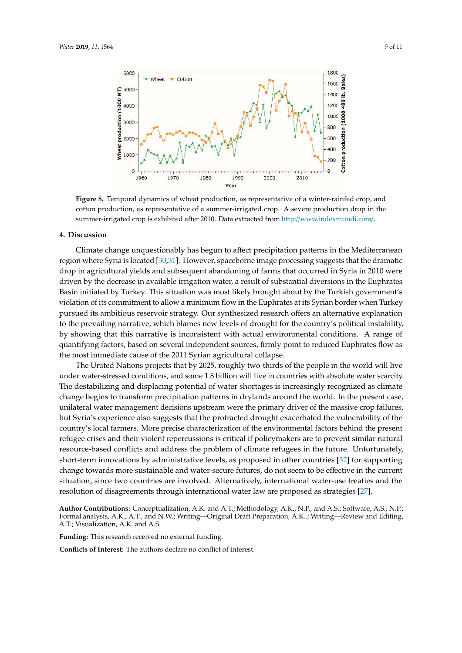<span id="page-8-0"></span>

**Figure 8.** Temporal dynamics of wheat production, as representative of a winter-rainfed crop, and **Figure 8.** Temporal dynamics of wheat production, as representative of a winter-rainfed crop, and cotton production, as representative of a summer-irrigated crop. A severe production drop in the cotton production, as representative of a summer-irrigated crop. A severe production drop in the summer-irrigated crop is exhibited after 2010. Data extracted fro[m http://www.indexmundi.com](http://www.indexmundi.com/)/. summer-irrigated crop is exhibited after 2010. Data extracted from http://www.indexmundi.com/.

#### **4. Discussion**

region where Syria is located [\[30,](#page-10-4)[31\]](#page-10-5). However, spaceborne image processing suggests that the dramatic drop in agricultural yields and subsequent abandoning of farms that occurred in Syria in 2010 were driven by the decrease in available irrigation water, a result of substantial diversions in the Euphrates Basin initiated by Turkey. This situation was most likely brought about by the Turkish government's  $P$  bush initiated by Turkey. This situation was most likely brought about by the Turkish government is violation of its commitment to allow a minimum flow in the Euphrates at its Syrian border when Turkey pursued its ambitious reservoir strategy. Our synthesized research offers an alternative explanation pursued its ambitious reservoir strategy. Our synthesized research offers an alternative explanation to the prevailing narrative, which blames new levels of drought for the country's political instability, by showing that this narrative is inconsistent with actual environmental conditions. A range of quantifying factors, based on several independent sources, firmly point to reduced Euphrates flow as the most immediate cause of the 2011 Syrian agricultural collapse. Climate change unquestionably has begun to affect precipitation patterns in the Mediterranean

The United Nations projects that by 2025, roughly two-thirds of the people in the world will live under water-stressed conditions, and some 1.8 billion will live in countries with absolute water scarcity. The destabilizing and displacing potential of water shortages is increasingly recognized as climate change begins to transform precipitation patterns in drylands around the world. In the present case, unilateral water management decisions upstream were the primary driver of the massive crop failures, but Syria's experience also suggests that the protracted drought exacerbated the vulnerability of the country's local farmers. More precise characterization of the environmental factors behind the present refugee crises and their violent repercussions is critical if policymakers are to prevent similar natural resource-based conflicts and address the problem of climate refugees in the future. Unfortunately, short-term innovations by administrative levels, as proposed in other countries [\[32\]](#page-10-6) for supporting change towards more sustainable and water-secure futures, do not seem to be effective in the current situation, since two countries are involved. Alternatively, international water-use treaties and the resolution of disagreements through international water law are proposed as strategies [\[27\]](#page-10-1).  $\mathcal{C}$  and the resolution of disagreements through international water law are proposed water law are proposed water law are proposed water law are proposed water law are proposed water law are proposed water law are pr

Author Contributions: Conceptualization, A.K. and A.T.; Methodology, A.K., N.P., and A.S.; Software, A.S., N.P.; A.T.; Visualization, A.K. and A.S.<sup>, Software, A.</sup>C., and A.S.; Software, A.C., A.C., A.C., A.K., and A.S. Formal analysis, A.K., A.T., and N.W.; Writing—Original Draft Preparation, A.K..; Writing—Review and Editing,

N.P.; Formal analysis, A.K., A.T., and N.W.; Writing—Original Draft Preparation, A.K..; Writing—Review and **Funding:** This research received no external funding.

**Conflicts of Interest:** The authors declare no conflict of interest.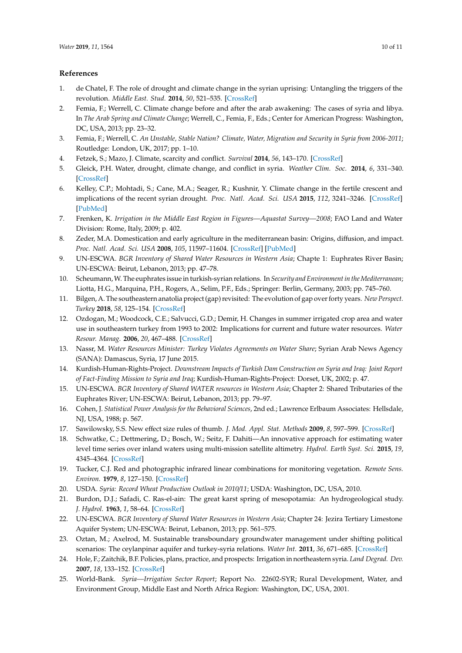#### **References**

- <span id="page-9-0"></span>1. de Chatel, F. The role of drought and climate change in the syrian uprising: Untangling the triggers of the revolution. *Middle East. Stud.* **2014**, *50*, 521–535. [\[CrossRef\]](http://dx.doi.org/10.1080/00263206.2013.850076)
- 2. Femia, F.; Werrell, C. Climate change before and after the arab awakening: The cases of syria and libya. In *The Arab Spring and Climate Change*; Werrell, C., Femia, F., Eds.; Center for American Progress: Washington, DC, USA, 2013; pp. 23–32.
- 3. Femia, F.; Werrell, C. *An Unstable, Stable Nation? Climate, Water, Migration and Security in Syria from 2006-2011*; Routledge: London, UK, 2017; pp. 1–10.
- 4. Fetzek, S.; Mazo, J. Climate, scarcity and conflict. *Survival* **2014**, *56*, 143–170. [\[CrossRef\]](http://dx.doi.org/10.1080/00396338.2014.962803)
- 5. Gleick, P.H. Water, drought, climate change, and conflict in syria. *Weather Clim. Soc.* **2014**, *6*, 331–340. [\[CrossRef\]](http://dx.doi.org/10.1175/WCAS-D-13-00059.1)
- <span id="page-9-1"></span>6. Kelley, C.P.; Mohtadi, S.; Cane, M.A.; Seager, R.; Kushnir, Y. Climate change in the fertile crescent and implications of the recent syrian drought. *Proc. Natl. Acad. Sci. USA* **2015**, *112*, 3241–3246. [\[CrossRef\]](http://dx.doi.org/10.1073/pnas.1421533112) [\[PubMed\]](http://www.ncbi.nlm.nih.gov/pubmed/25733898)
- <span id="page-9-2"></span>7. Frenken, K. *Irrigation in the Middle East Region in Figures—Aquastat Survey—2008*; FAO Land and Water Division: Rome, Italy, 2009; p. 402.
- <span id="page-9-3"></span>8. Zeder, M.A. Domestication and early agriculture in the mediterranean basin: Origins, diffusion, and impact. *Proc. Natl. Acad. Sci. USA* **2008**, *105*, 11597–11604. [\[CrossRef\]](http://dx.doi.org/10.1073/pnas.0801317105) [\[PubMed\]](http://www.ncbi.nlm.nih.gov/pubmed/18697943)
- <span id="page-9-4"></span>9. UN-ESCWA. *BGR Inventory of Shared Water Resources in Western Asia*; Chapte 1: Euphrates River Basin; UN-ESCWA: Beirut, Lebanon, 2013; pp. 47–78.
- <span id="page-9-5"></span>10. Scheumann,W. The euphrates issue in turkish-syrian relations. In *Security and Environment in the Mediterranean*; Liotta, H.G., Marquina, P.H., Rogers, A., Selim, P.F., Eds.; Springer: Berlin, Germany, 2003; pp. 745–760.
- <span id="page-9-6"></span>11. Bilgen, A. The southeastern anatolia project (gap) revisited: The evolution of gap over forty years. *New Perspect. Turkey* **2018**, *58*, 125–154. [\[CrossRef\]](http://dx.doi.org/10.1017/npt.2018.8)
- <span id="page-9-7"></span>12. Ozdogan, M.; Woodcock, C.E.; Salvucci, G.D.; Demir, H. Changes in summer irrigated crop area and water use in southeastern turkey from 1993 to 2002: Implications for current and future water resources. *Water Resour. Manag.* **2006**, *20*, 467–488. [\[CrossRef\]](http://dx.doi.org/10.1007/s11269-006-3087-0)
- <span id="page-9-8"></span>13. Nassr, M. *Water Resources Minister: Turkey Violates Agreements on Water Share*; Syrian Arab News Agency (SANA): Damascus, Syria, 17 June 2015.
- <span id="page-9-9"></span>14. Kurdish-Human-Rights-Project. *Downstream Impacts of Turkish Dam Construction on Syria and Iraq: Joint Report of Fact-Finding Mission to Syria and Iraq*; Kurdish-Human-Rights-Project: Dorset, UK, 2002; p. 47.
- <span id="page-9-10"></span>15. UN-ESCWA. *BGR Inventory of Shared WATER resources in Western Asia*; Chapter 2: Shared Tributaries of the Euphrates River; UN-ESCWA: Beirut, Lebanon, 2013; pp. 79–97.
- <span id="page-9-11"></span>16. Cohen, J. *Statistical Power Analysis for the Behavioral Sciences*, 2nd ed.; Lawrence Erlbaum Associates: Hellsdale, NJ, USA, 1988; p. 567.
- <span id="page-9-12"></span>17. Sawilowsky, S.S. New effect size rules of thumb. *J. Mod. Appl. Stat. Methods* **2009**, *8*, 597–599. [\[CrossRef\]](http://dx.doi.org/10.22237/jmasm/1257035100)
- <span id="page-9-13"></span>18. Schwatke, C.; Dettmering, D.; Bosch, W.; Seitz, F. Dahiti—An innovative approach for estimating water level time series over inland waters using multi-mission satellite altimetry. *Hydrol. Earth Syst. Sci.* **2015**, *19*, 4345–4364. [\[CrossRef\]](http://dx.doi.org/10.5194/hess-19-4345-2015)
- <span id="page-9-14"></span>19. Tucker, C.J. Red and photographic infrared linear combinations for monitoring vegetation. *Remote Sens. Environ.* **1979**, *8*, 127–150. [\[CrossRef\]](http://dx.doi.org/10.1016/0034-4257(79)90013-0)
- <span id="page-9-15"></span>20. USDA. *Syria: Record Wheat Production Outlook in 2010*/*11*; USDA: Washington, DC, USA, 2010.
- <span id="page-9-16"></span>21. Burdon, D.J.; Safadi, C. Ras-el-ain: The great karst spring of mesopotamia: An hydrogeological study. *J. Hydrol.* **1963**, *1*, 58–64. [\[CrossRef\]](http://dx.doi.org/10.1016/0022-1694(63)90033-7)
- <span id="page-9-17"></span>22. UN-ESCWA. *BGR Inventory of Shared Water Resources in Western Asia*; Chapter 24: Jezira Tertiary Limestone Aquifer System; UN-ESCWA: Beirut, Lebanon, 2013; pp. 561–575.
- <span id="page-9-18"></span>23. Oztan, M.; Axelrod, M. Sustainable transboundary groundwater management under shifting political scenarios: The ceylanpinar aquifer and turkey-syria relations. *Water Int.* **2011**, *36*, 671–685. [\[CrossRef\]](http://dx.doi.org/10.1080/02508060.2011.601546)
- <span id="page-9-19"></span>24. Hole, F.; Zaitchik, B.F. Policies, plans, practice, and prospects: Irrigation in northeastern syria. *Land Degrad. Dev.* **2007**, *18*, 133–152. [\[CrossRef\]](http://dx.doi.org/10.1002/ldr.772)
- <span id="page-9-20"></span>25. World-Bank. *Syria—Irrigation Sector Report*; Report No. 22602-SYR; Rural Development, Water, and Environment Group, Middle East and North Africa Region: Washington, DC, USA, 2001.